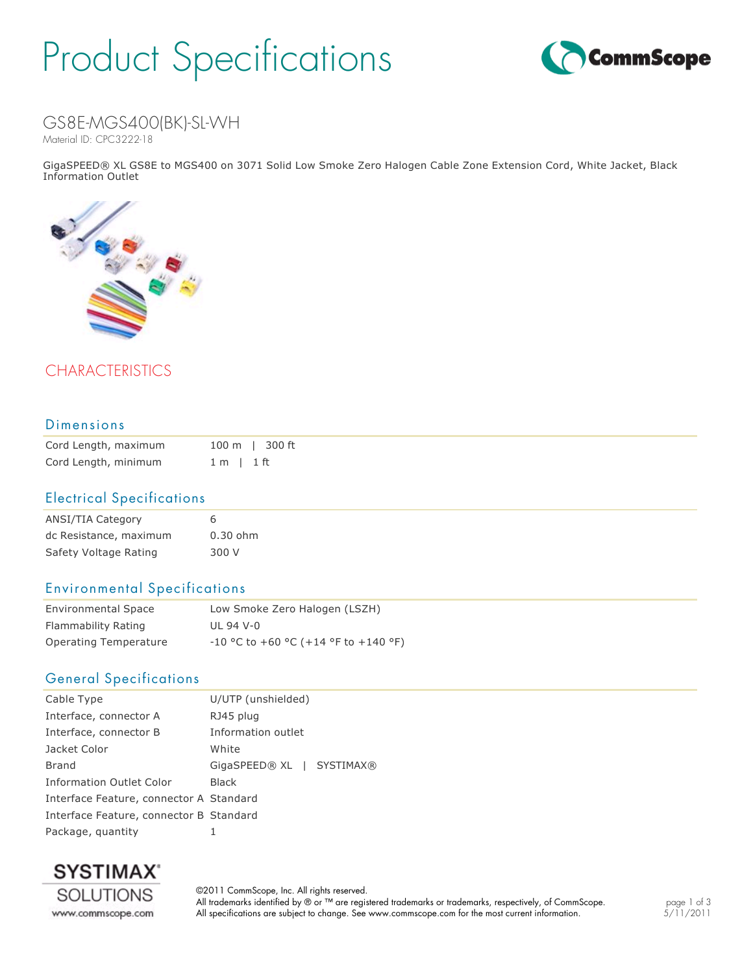# Product Specifications



# GS8E-MGS400(BK)-SL-WH

Material ID: CPC3222-18

GigaSPEED® XL GS8E to MGS400 on 3071 Solid Low Smoke Zero Halogen Cable Zone Extension Cord, White Jacket, Black Information Outlet



# CHARACTERISTICS

### Dimensions

| Cord Length, maximum |                | 100 m   300 ft |
|----------------------|----------------|----------------|
| Cord Length, minimum | $1 m$   $1 ft$ |                |

#### Electrical Specifications

| ANSI/TIA Category      |            |
|------------------------|------------|
| dc Resistance, maximum | $0.30$ ohm |
| Safety Voltage Rating  | 300 V      |
|                        |            |

### Environmental Specifications

| <b>Environmental Space</b> | Low Smoke Zero Halogen (LSZH)          |  |
|----------------------------|----------------------------------------|--|
| Flammability Rating        | UL 94 V-0                              |  |
| Operating Temperature      | $-10$ °C to +60 °C (+14 °F to +140 °F) |  |

### General Specifications

| Cable Type                              | U/UTP (unshielded)        |
|-----------------------------------------|---------------------------|
| Interface, connector A                  | RJ45 plug                 |
| Interface, connector B                  | Information outlet        |
| Jacket Color                            | White                     |
| Brand                                   | GigaSPEED® XL   SYSTIMAX® |
| Information Outlet Color                | <b>Black</b>              |
| Interface Feature, connector A Standard |                           |
| Interface Feature, connector B Standard |                           |
| Package, quantity                       | 1                         |



©2011 CommScope, Inc. All rights reserved. All trademarks identified by ® or ™ are registered trademarks or trademarks, respectively, of CommScope. All specifications are subject to change. See www.commscope.com for the most current information.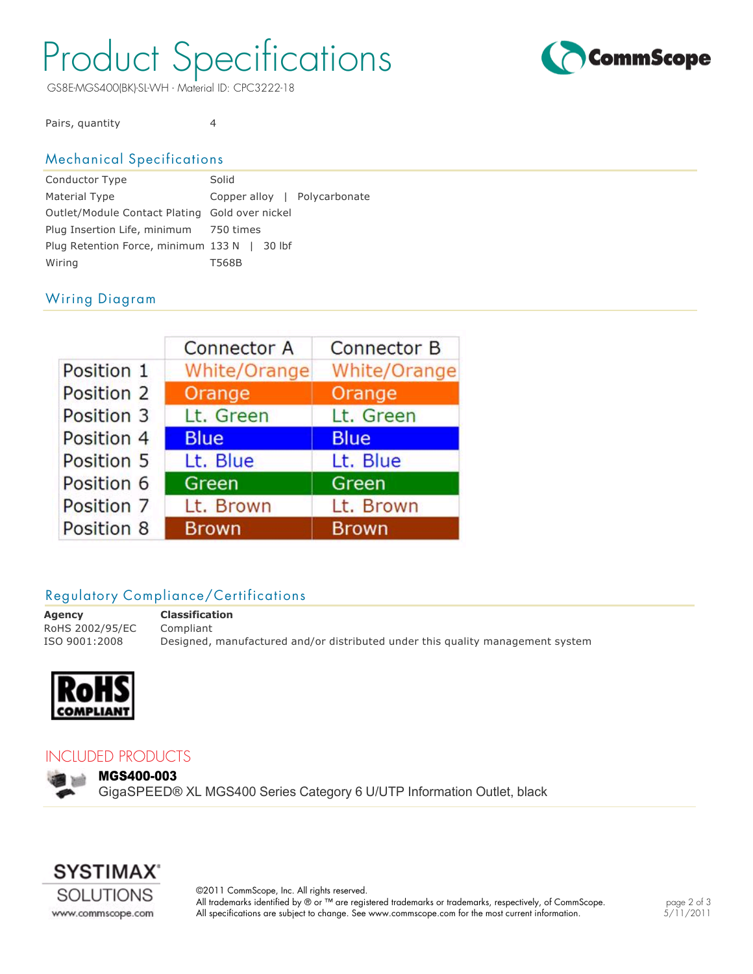# Product Specifications

GS8E-MGS400(BK)-SL-WH - Material ID: CPC3222-18



Pairs, quantity 4

# Mechanical Specifications

| Solid                                          |  |
|------------------------------------------------|--|
| Copper alloy   Polycarbonate                   |  |
| Outlet/Module Contact Plating Gold over nickel |  |
| Plug Insertion Life, minimum 750 times         |  |
| Plug Retention Force, minimum 133 N   30 lbf   |  |
| T568B                                          |  |
|                                                |  |

# Wiring Diagram

|            | <b>Connector A</b> | <b>Connector B</b> |
|------------|--------------------|--------------------|
| Position 1 | White/Orange       | White/Orange       |
| Position 2 | Orange             | Orange             |
| Position 3 | Lt. Green          | Lt. Green          |
| Position 4 | <b>Blue</b>        | <b>Blue</b>        |
| Position 5 | Lt. Blue           | Lt. Blue           |
| Position 6 | Green              | Green              |
| Position 7 | Lt. Brown          | Lt. Brown          |
| Position 8 | <b>Brown</b>       | <b>Brown</b>       |

## Regulatory Compliance/Certifications

**Agency Classification** RoHS 2002/95/EC Compliant

ISO 9001:2008 Designed, manufactured and/or distributed under this quality management system



### INCLUDED PRODUCTS

MGS400-003

GigaSPEED® XL MGS400 Series Category 6 U/UTP Information Outlet, black



©2011 CommScope, Inc. All rights reserved. All trademarks identified by ® or ™ are registered trademarks or trademarks, respectively, of CommScope. All specifications are subject to change. See www.commscope.com for the most current information.